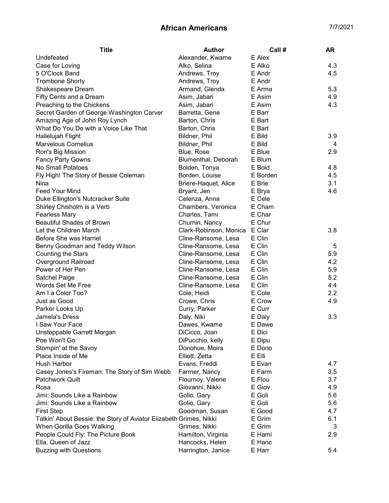| <b>Title</b>                                                       | <b>Author</b>          | Call#    | AR  |
|--------------------------------------------------------------------|------------------------|----------|-----|
| Undefeated                                                         | Alexander, Kwame       | E Alex   |     |
| Case for Loving                                                    | Alko, Selina           | E Alko   | 4.3 |
| 5 O'Clock Band                                                     | Andrews, Troy          | E Andr   | 4.5 |
| <b>Trombone Shorty</b>                                             | Andrews, Troy          | E Andr   |     |
| Shakespeare Dream                                                  | Armand, Glenda         | E Arma   | 5.3 |
| Fifty Cents and a Dream                                            | Asim, Jabari           | E Asim   | 4.9 |
| Preaching to the Chickens                                          | Asim, Jabari           | E Asim   | 4.3 |
| Secret Garden of George Washington Carver                          | Barretta, Gene         | E Barr   |     |
| Amazing Age of John Roy Lynch                                      | Barton, Chris          | E Bart   |     |
| What Do You Do with a Voice Like That                              | Barton, Chris          | E Bart   |     |
| Hallelujah Flight                                                  | Bildner, Phil          | E Bild   | 3.9 |
| <b>Marvelous Cornelius</b>                                         | Bildner, Phil          | E Bild   | 4   |
| Ron's Big Mission                                                  | Blue, Rose             | E Blue   | 2.9 |
| <b>Fancy Party Gowns</b>                                           | Blumenthal, Deborah    | E Blum   |     |
| No Small Potatoes                                                  | Bolden, Tonya          | E Bold   | 4.8 |
| Fly High! The Story of Bessie Coleman                              | Borden, Louise         | E Borden | 4.5 |
| Nina                                                               | Briere-Haquet, Alice   | E Brie   | 3.1 |
| Feed Your Mind                                                     | Bryant, Jen            | E Brya   | 4.6 |
| Duke Ellington's Nutcracker Suite                                  | Celenza, Anna          | E Cele   |     |
| Shirley Chisholm is a Verb                                         | Chambers, Veronica     | E Cham   |     |
| <b>Fearless Mary</b>                                               | Charles, Tami          | E Char   |     |
| <b>Beautiful Shades of Brown</b>                                   | Churnin, Nancy         | E Chur   |     |
| Let the Children March                                             | Clark-Robinson, Monica | E Clar   | 3.8 |
| Before She was Harriet                                             | Cline-Ransome, Lesa    | E Clin   |     |
| Benny Goodman and Teddy Wilson                                     | Cline-Ransome, Lesa    | E Clin   | 5   |
| <b>Counting the Stars</b>                                          | Cline-Ransome, Lesa    | E Clin   | 5.9 |
| Overground Railroad                                                | Cline-Ransome, Lesa    | E Clin   | 4.2 |
| Power of Her Pen                                                   | Cline-Ransome, Lesa    | E Clin   | 5.9 |
| Satchel Paige                                                      | Cline-Ransome, Lesa    | E Clin   | 5.2 |
| Words Set Me Free                                                  | Cline-Ransome, Lesa    | E Clin   | 4.4 |
| Am I a Color Too?                                                  | Cole, Heidi            | E Cole   | 2.2 |
| Just as Good                                                       | Crowe, Chris           | E Crow   | 4.9 |
| Parker Looks Up                                                    | Curry, Parker          | E Curr   |     |
| Jamela's Dress                                                     | Daly, Niki             | E Daly   | 3.3 |
| I Saw Your Face                                                    | Dawes, Kwame           | E Dawe   |     |
| Unstoppable Garrett Morgan                                         | DiCicco, Joan          | E Dici   |     |
| Poe Won't Go                                                       | DiPucchio, kelly       | E Dipu   |     |
| Stompin' at the Savoy                                              | Donohue, Moira         | E Dono   |     |
| Place Inside of Me                                                 | Elliott, Zetta         | E Elli   |     |
| Hush Harbor                                                        | Evans, Freddi          | E Evan   | 4.7 |
| Casey Jones's Fireman: The Story of Sim Webb                       | Farmer, Nancy          | E Farm   | 3.5 |
| <b>Patchwork Quilt</b>                                             | Flournoy, Valerie      | E Flou   | 3.7 |
| Rosa                                                               | Giovanni, Nikki        | E Giov   | 4.9 |
| Jimi: Sounds Like a Rainbow                                        | Golio, Gary            | E Goli   | 5.6 |
| Jimi: Sounds Like a Rainbow                                        | Golio, Gary            | E Goli   | 5.6 |
| <b>First Step</b>                                                  | Goodman, Susan         | E Good   | 4.7 |
| Talkin' About Bessie: the Story of Aviator Elizabeth Grimes, Nikki |                        | E Grim   | 6.1 |
| When Gorilla Goes Walking                                          | Grimes, Nikki          | E Grim   | 3   |
| People Could Fly: The Picture Book                                 | Hamilton, Virginia     | E Hami   | 2.9 |
| Ella, Queen of Jazz                                                | Hancocks, Helen        | E Hanc   |     |
| <b>Buzzing with Questions</b>                                      | Harrington, Janice     | E Harr   | 5.4 |
|                                                                    |                        |          |     |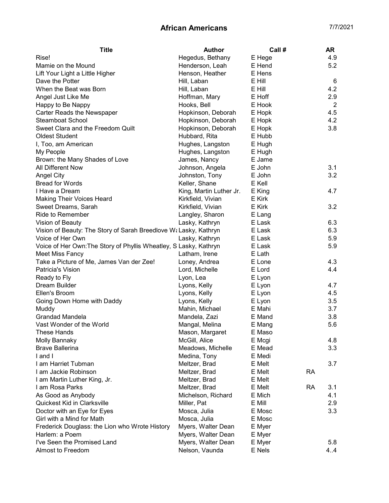| Hegedus, Bethany<br>4.9<br>Rise!<br>E Hege<br>5.2<br>Mamie on the Mound<br>Henderson, Leah<br>E Hend<br>Henson, Heather<br>E Hens<br>Lift Your Light a Little Higher<br>Dave the Potter<br>E Hill<br>Hill, Laban<br>When the Beat was Born<br>Hill, Laban<br>E Hill<br>4.2<br>2.9<br>Hoffman, Mary<br>E Hoff<br>Angel Just Like Me<br>Happy to Be Nappy<br>Hooks, Bell<br>E Hook<br>4.5<br>Carter Reads the Newspaper<br>Hopkinson, Deborah<br>E Hopk<br><b>Steamboat School</b><br>Hopkinson, Deborah<br>4.2<br>E Hopk<br>3.8<br>Sweet Clara and the Freedom Quilt<br>Hopkinson, Deborah<br>E Hopk<br><b>Oldest Student</b><br>Hubbard, Rita<br>E Hubb<br>Hughes, Langston<br>E Hugh<br>I, Too, am American<br>Hughes, Langston<br>E Hugh<br>My People<br>E Jame<br>Brown: the Many Shades of Love<br>James, Nancy | 6<br>$\overline{2}$ |
|---------------------------------------------------------------------------------------------------------------------------------------------------------------------------------------------------------------------------------------------------------------------------------------------------------------------------------------------------------------------------------------------------------------------------------------------------------------------------------------------------------------------------------------------------------------------------------------------------------------------------------------------------------------------------------------------------------------------------------------------------------------------------------------------------------------------|---------------------|
|                                                                                                                                                                                                                                                                                                                                                                                                                                                                                                                                                                                                                                                                                                                                                                                                                     |                     |
|                                                                                                                                                                                                                                                                                                                                                                                                                                                                                                                                                                                                                                                                                                                                                                                                                     |                     |
|                                                                                                                                                                                                                                                                                                                                                                                                                                                                                                                                                                                                                                                                                                                                                                                                                     |                     |
|                                                                                                                                                                                                                                                                                                                                                                                                                                                                                                                                                                                                                                                                                                                                                                                                                     |                     |
|                                                                                                                                                                                                                                                                                                                                                                                                                                                                                                                                                                                                                                                                                                                                                                                                                     |                     |
|                                                                                                                                                                                                                                                                                                                                                                                                                                                                                                                                                                                                                                                                                                                                                                                                                     |                     |
|                                                                                                                                                                                                                                                                                                                                                                                                                                                                                                                                                                                                                                                                                                                                                                                                                     |                     |
|                                                                                                                                                                                                                                                                                                                                                                                                                                                                                                                                                                                                                                                                                                                                                                                                                     |                     |
|                                                                                                                                                                                                                                                                                                                                                                                                                                                                                                                                                                                                                                                                                                                                                                                                                     |                     |
|                                                                                                                                                                                                                                                                                                                                                                                                                                                                                                                                                                                                                                                                                                                                                                                                                     |                     |
|                                                                                                                                                                                                                                                                                                                                                                                                                                                                                                                                                                                                                                                                                                                                                                                                                     |                     |
|                                                                                                                                                                                                                                                                                                                                                                                                                                                                                                                                                                                                                                                                                                                                                                                                                     |                     |
|                                                                                                                                                                                                                                                                                                                                                                                                                                                                                                                                                                                                                                                                                                                                                                                                                     |                     |
|                                                                                                                                                                                                                                                                                                                                                                                                                                                                                                                                                                                                                                                                                                                                                                                                                     |                     |
| 3.1<br>All Different Now<br>Johnson, Angela<br>E John                                                                                                                                                                                                                                                                                                                                                                                                                                                                                                                                                                                                                                                                                                                                                               |                     |
| 3.2<br>Johnston, Tony<br>E John<br><b>Angel City</b>                                                                                                                                                                                                                                                                                                                                                                                                                                                                                                                                                                                                                                                                                                                                                                |                     |
| <b>Bread for Words</b><br>Keller, Shane<br>E Kell                                                                                                                                                                                                                                                                                                                                                                                                                                                                                                                                                                                                                                                                                                                                                                   |                     |
| 4.7<br>I Have a Dream<br>King, Martin Luther Jr.<br>E King                                                                                                                                                                                                                                                                                                                                                                                                                                                                                                                                                                                                                                                                                                                                                          |                     |
| E Kirk<br><b>Making Their Voices Heard</b><br>Kirkfield, Vivian                                                                                                                                                                                                                                                                                                                                                                                                                                                                                                                                                                                                                                                                                                                                                     |                     |
| Kirkfield, Vivian<br>E Kirk<br>3.2<br>Sweet Dreams, Sarah                                                                                                                                                                                                                                                                                                                                                                                                                                                                                                                                                                                                                                                                                                                                                           |                     |
| <b>Ride to Remember</b><br>Langley, Sharon<br>E Lang                                                                                                                                                                                                                                                                                                                                                                                                                                                                                                                                                                                                                                                                                                                                                                |                     |
| 6.3<br>Vision of Beauty<br>Lasky, Kathryn<br>E Lask                                                                                                                                                                                                                                                                                                                                                                                                                                                                                                                                                                                                                                                                                                                                                                 |                     |
| Vision of Beauty: The Story of Sarah Breedlove W& Lasky, Kathryn<br>6.3<br>E Lask                                                                                                                                                                                                                                                                                                                                                                                                                                                                                                                                                                                                                                                                                                                                   |                     |
| Voice of Her Own<br>Lasky, Kathryn<br>5.9<br>E Lask                                                                                                                                                                                                                                                                                                                                                                                                                                                                                                                                                                                                                                                                                                                                                                 |                     |
| Voice of Her Own: The Story of Phyllis Wheatley, S Lasky, Kathryn<br>5.9<br>E Lask                                                                                                                                                                                                                                                                                                                                                                                                                                                                                                                                                                                                                                                                                                                                  |                     |
| <b>Meet Miss Fancy</b><br>Latham, Irene<br>E Lath                                                                                                                                                                                                                                                                                                                                                                                                                                                                                                                                                                                                                                                                                                                                                                   |                     |
| 4.3<br>Take a Picture of Me, James Van der Zee!<br>Loney, Andrea<br>E Lone                                                                                                                                                                                                                                                                                                                                                                                                                                                                                                                                                                                                                                                                                                                                          |                     |
| 4.4<br>Patricia's Vision<br>Lord, Michelle<br>E Lord                                                                                                                                                                                                                                                                                                                                                                                                                                                                                                                                                                                                                                                                                                                                                                |                     |
| Ready to Fly<br>Lyon, Lea<br>E Lyon                                                                                                                                                                                                                                                                                                                                                                                                                                                                                                                                                                                                                                                                                                                                                                                 |                     |
| Dream Builder<br>Lyons, Kelly<br>E Lyon<br>4.7                                                                                                                                                                                                                                                                                                                                                                                                                                                                                                                                                                                                                                                                                                                                                                      |                     |
| 4.5<br>Lyons, Kelly<br>E Lyon<br>Ellen's Broom                                                                                                                                                                                                                                                                                                                                                                                                                                                                                                                                                                                                                                                                                                                                                                      |                     |
| Going Down Home with Daddy<br>E Lyon<br>3.5<br>Lyons, Kelly                                                                                                                                                                                                                                                                                                                                                                                                                                                                                                                                                                                                                                                                                                                                                         |                     |
| Mahin, Michael<br>E Mahi<br>3.7<br>Muddy                                                                                                                                                                                                                                                                                                                                                                                                                                                                                                                                                                                                                                                                                                                                                                            |                     |
| <b>Grandad Mandela</b><br>E Mand<br>3.8<br>Mandela, Zazi                                                                                                                                                                                                                                                                                                                                                                                                                                                                                                                                                                                                                                                                                                                                                            |                     |
| Vast Wonder of the World<br>5.6<br>Mangal, Melina<br>E Mang                                                                                                                                                                                                                                                                                                                                                                                                                                                                                                                                                                                                                                                                                                                                                         |                     |
| These Hands<br>E Maso<br>Mason, Margaret                                                                                                                                                                                                                                                                                                                                                                                                                                                                                                                                                                                                                                                                                                                                                                            |                     |
| McGill, Alice<br>4.8<br>Molly Bannaky<br>E Mcgi                                                                                                                                                                                                                                                                                                                                                                                                                                                                                                                                                                                                                                                                                                                                                                     |                     |
| <b>Brave Ballerina</b><br>Meadows, Michelle<br>E Mead<br>3.3                                                                                                                                                                                                                                                                                                                                                                                                                                                                                                                                                                                                                                                                                                                                                        |                     |
| I and I<br>E Medi<br>Medina, Tony                                                                                                                                                                                                                                                                                                                                                                                                                                                                                                                                                                                                                                                                                                                                                                                   |                     |
| I am Harriet Tubman<br>E Melt<br>3.7<br>Meltzer, Brad                                                                                                                                                                                                                                                                                                                                                                                                                                                                                                                                                                                                                                                                                                                                                               |                     |
| I am Jackie Robinson<br>E Melt<br>Meltzer, Brad<br>RA                                                                                                                                                                                                                                                                                                                                                                                                                                                                                                                                                                                                                                                                                                                                                               |                     |
| Meltzer, Brad<br>E Melt<br>I am Martin Luther King, Jr.                                                                                                                                                                                                                                                                                                                                                                                                                                                                                                                                                                                                                                                                                                                                                             |                     |
| I am Rosa Parks<br>Meltzer, Brad<br>E Melt<br><b>RA</b><br>3.1                                                                                                                                                                                                                                                                                                                                                                                                                                                                                                                                                                                                                                                                                                                                                      |                     |
| As Good as Anybody<br>Michelson, Richard<br>4.1<br>E Mich                                                                                                                                                                                                                                                                                                                                                                                                                                                                                                                                                                                                                                                                                                                                                           |                     |
| Quickest Kid in Clarksville<br>E Mill<br>2.9<br>Miller, Pat                                                                                                                                                                                                                                                                                                                                                                                                                                                                                                                                                                                                                                                                                                                                                         |                     |
| Doctor with an Eye for Eyes<br>Mosca, Julia<br>E Mosc<br>3.3                                                                                                                                                                                                                                                                                                                                                                                                                                                                                                                                                                                                                                                                                                                                                        |                     |
| Girl with a Mind for Math<br>Mosca, Julia<br>E Mosc                                                                                                                                                                                                                                                                                                                                                                                                                                                                                                                                                                                                                                                                                                                                                                 |                     |
| Frederick Douglass: the Lion who Wrote History<br>E Myer<br>Myers, Walter Dean                                                                                                                                                                                                                                                                                                                                                                                                                                                                                                                                                                                                                                                                                                                                      |                     |
| Harlem: a Poem<br>Myers, Walter Dean<br>E Myer                                                                                                                                                                                                                                                                                                                                                                                                                                                                                                                                                                                                                                                                                                                                                                      |                     |
| I've Seen the Promised Land<br>Myers, Walter Dean<br>5.8<br>E Myer                                                                                                                                                                                                                                                                                                                                                                                                                                                                                                                                                                                                                                                                                                                                                  |                     |
| Almost to Freedom<br>4.4<br>Nelson, Vaunda<br>E Nels                                                                                                                                                                                                                                                                                                                                                                                                                                                                                                                                                                                                                                                                                                                                                                |                     |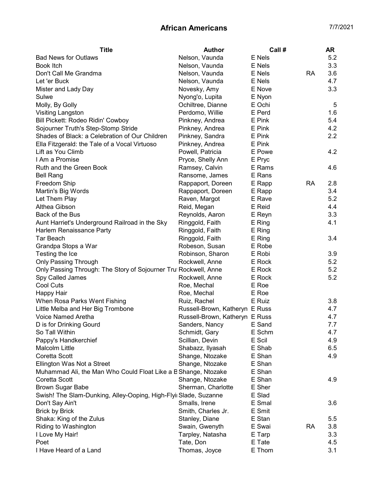| <b>Title</b>                                                     | <b>Author</b>                  | Call#  |           | <b>AR</b> |
|------------------------------------------------------------------|--------------------------------|--------|-----------|-----------|
| <b>Bad News for Outlaws</b>                                      | Nelson, Vaunda                 | E Nels |           | 5.2       |
| <b>Book Itch</b>                                                 | Nelson, Vaunda                 | E Nels |           | 3.3       |
| Don't Call Me Grandma                                            | Nelson, Vaunda                 | E Nels | <b>RA</b> | 3.6       |
| Let 'er Buck                                                     | Nelson, Vaunda                 | E Nels |           | 4.7       |
| Mister and Lady Day                                              | Novesky, Amy                   | E Nove |           | 3.3       |
| Sulwe                                                            | Nyong'o, Lupita                | E Nyon |           |           |
| Molly, By Golly                                                  | Ochiltree, Dianne              | E Ochi |           | 5         |
| Visiting Langston                                                | Perdomo, Willie                | E Perd |           | 1.6       |
| Bill Pickett: Rodeo Ridin' Cowboy                                | Pinkney, Andrea                | E Pink |           | 5.4       |
| Sojourner Truth's Step-Stomp Stride                              | Pinkney, Andrea                | E Pink |           | 4.2       |
| Shades of Black: a Celebration of Our Children                   | Pinkney, Sandra                | E Pink |           | 2.2       |
| Ella Fitzgerald: the Tale of a Vocal Virtuoso                    | Pinkney, Andrea                | E Pink |           |           |
| Lift as You Climb                                                | Powell, Patricia               | E Powe |           | 4.2       |
| I Am a Promise                                                   | Pryce, Shelly Ann              | E Pryc |           |           |
| Ruth and the Green Book                                          | Ramsey, Calvin                 | E Rams |           | 4.6       |
| <b>Bell Rang</b>                                                 | Ransome, James                 | E Rans |           |           |
| Freedom Ship                                                     | Rappaport, Doreen              | E Rapp | <b>RA</b> | 2.8       |
| Martin's Big Words                                               | Rappaport, Doreen              | E Rapp |           | 3.4       |
| Let Them Play                                                    | Raven, Margot                  | E Rave |           | 5.2       |
| Althea Gibson                                                    | Reid, Megan                    | E Reid |           | 4.4       |
| Back of the Bus                                                  | Reynolds, Aaron                | E Reyn |           | 3.3       |
| Aunt Harriet's Underground Railroad in the Sky                   | Ringgold, Faith                | E Ring |           | 4.1       |
| Harlem Renaissance Party                                         | Ringgold, Faith                | E Ring |           |           |
| Tar Beach                                                        | Ringgold, Faith                | E Ring |           | 3.4       |
| Grandpa Stops a War                                              | Robeson, Susan                 | E Robe |           |           |
| Testing the Ice                                                  | Robinson, Sharon               | E Robi |           | 3.9       |
| <b>Only Passing Through</b>                                      | Rockwell, Anne                 | E Rock |           | 5.2       |
| Only Passing Through: The Story of Sojourner Tru Rockwell, Anne  |                                | E Rock |           | 5.2       |
| Spy Called James                                                 | Rockwell, Anne                 | E Rock |           | 5.2       |
| Cool Cuts                                                        | Roe, Mechal                    | E Roe  |           |           |
| Happy Hair                                                       | Roe, Mechal                    | E Roe  |           |           |
| When Rosa Parks Went Fishing                                     | Ruiz, Rachel                   | E Ruiz |           | 3.8       |
| Little Melba and Her Big Trombone                                | Russell-Brown, Katheryn E Russ |        |           | 4.7       |
| Voice Named Aretha                                               | Russell-Brown, Katheryn E Russ |        |           | 4.7       |
| D is for Drinking Gourd                                          | Sanders, Nancy                 | E Sand |           | 7.7       |
| So Tall Within                                                   | Schmidt, Gary                  | E Schm |           | 4.7       |
| Pappy's Handkerchief                                             | Scillian, Devin                | E Scil |           | 4.9       |
| Malcolm Little                                                   | Shabazz, Ilyasah               | E Shab |           | 6.5       |
| Coretta Scott                                                    | Shange, Ntozake                | E Shan |           | 4.9       |
| Ellington Was Not a Street                                       | Shange, Ntozake                | E Shan |           |           |
| Muhammad Ali, the Man Who Could Float Like a B Shange, Ntozake   |                                | E Shan |           |           |
| Coretta Scott                                                    | Shange, Ntozake                | E Shan |           | 4.9       |
| <b>Brown Sugar Babe</b>                                          | Sherman, Charlotte             | E Sher |           |           |
| Swish! The Slam-Dunking, Alley-Ooping, High-Flyii Slade, Suzanne |                                | E Slad |           |           |
| Don't Say Ain't                                                  | Smalls, Irene                  | E Smal |           | 3.6       |
| <b>Brick by Brick</b>                                            | Smith, Charles Jr.             | E Smit |           |           |
| Shaka: King of the Zulus                                         | Stanley, Diane                 | E Stan |           | 5.5       |
| Riding to Washington                                             | Swain, Gwenyth                 | E Swai | <b>RA</b> | 3.8       |
| I Love My Hair!                                                  | Tarpley, Natasha               | E Tarp |           | 3.3       |
| Poet                                                             | Tate, Don                      | E Tate |           | 4.5       |
| I Have Heard of a Land                                           | Thomas, Joyce                  | E Thom |           | 3.1       |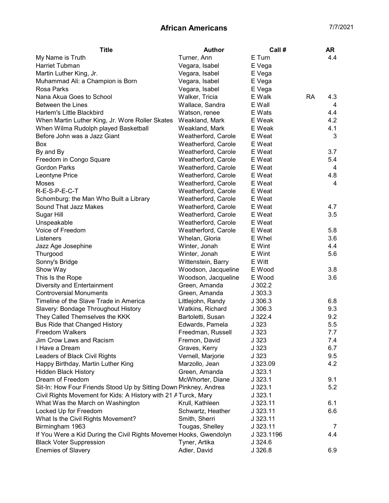| E Turn<br>Turner, Ann<br>4.4<br>My Name is Truth<br>Harriet Tubman<br>E Vega<br>Vegara, Isabel<br>Martin Luther King, Jr.<br>Vegara, Isabel<br>E Vega<br>Muhammad Ali: a Champion is Born<br>Vegara, Isabel<br>E Vega<br>Rosa Parks<br>Vegara, Isabel<br>E Vega<br>Nana Akua Goes to School<br>Walker, Tricia<br>E Walk<br><b>RA</b><br>4.3<br><b>Between the Lines</b><br>Wallace, Sandra<br>E Wall<br>4<br>E Wats<br>4.4<br>Harlem's Little Blackbird<br>Watson, renee<br>When Martin Luther King, Jr. Wore Roller Skates<br>E Weak<br>4.2<br>Weakland, Mark<br>When Wilma Rudolph played Basketball<br>E Weak<br>4.1<br>Weakland, Mark<br>Before John was a Jazz Giant<br>Weatherford, Carole<br>E Weat<br>3<br>Weatherford, Carole<br>E Weat<br>Box<br>Weatherford, Carole<br>E Weat<br>3.7<br>By and By<br>Weatherford, Carole<br>E Weat<br>5.4<br>Freedom in Congo Square<br><b>Gordon Parks</b><br>Weatherford, Carole<br>E Weat<br>4<br>Weatherford, Carole<br>E Weat<br>4.8<br>Leontyne Price<br>Weatherford, Carole<br>E Weat<br>4<br>Moses<br>R-E-S-P-E-C-T<br>Weatherford, Carole<br>E Weat<br>Weatherford, Carole<br>E Weat<br>Schomburg: the Man Who Built a Library<br>Sound That Jazz Makes<br>Weatherford, Carole<br>E Weat<br>4.7<br>Weatherford, Carole<br>E Weat<br>3.5<br>Sugar Hill<br>Weatherford, Carole<br>E Weat<br>Unspeakable<br>Voice of Freedom<br>Weatherford, Carole<br>E Weat<br>5.8<br>3.6<br>Listeners<br>Whelan, Gloria<br>E Whel<br>4.4<br>Jazz Age Josephine<br>Winter, Jonah<br>E Wint<br>Thurgood<br>Winter, Jonah<br>5.6<br>E Wint<br>Sonny's Bridge<br>Wittenstein, Barry<br>E Witt<br>E Wood<br>3.8<br>Show Way<br>Woodson, Jacqueline<br>This Is the Rope<br>E Wood<br>3.6<br>Woodson, Jacqueline<br>Diversity and Entertainment<br>Green, Amanda<br>J302.2<br><b>Controversial Monuments</b><br>Green, Amanda<br>J303.3<br>Timeline of the Slave Trade in America<br>6.8<br>Littlejohn, Randy<br>J306.3<br>Slavery: Bondage Throughout History<br>9.3<br>Watkins, Richard<br>J306.3<br>They Called Themselves the KKK<br>J 322.4<br>Bartoletti, Susan<br>9.2<br>Edwards, Pamela<br>J323<br>5.5<br><b>Bus Ride that Changed History</b><br>J 323<br>7.7<br>Freedom Walkers<br>Freedman, Russell<br>J323<br>Jim Crow Laws and Racism<br>Fremon, David<br>7.4<br>6.7<br>Graves, Kerry<br>J323<br>I Have a Dream<br>Leaders of Black Civil Rights<br>Vernell, Marjorie<br>J323<br>9.5<br>Happy Birthday, Martin Luther King<br>J 323.09<br>4.2<br>Marzollo, Jean<br>Green, Amanda<br>J323.1<br><b>Hidden Black History</b><br>Dream of Freedom<br>McWhorter, Diane<br>9.1<br>J323.1<br>Sit-In: How Four Friends Stood Up by Sitting Down Pinkney, Andrea<br>5.2<br>J323.1<br>Civil Rights Movement for Kids: A History with 21 A Turck, Mary<br>J323.1<br>What Was the March on Washington<br>J 323.11<br>6.1<br>Krull, Kathleen<br>Locked Up for Freedom<br>6.6<br>Schwartz, Heather<br>J323.11<br>What Is the Civil Rights Movement?<br>Smith, Sherri<br>J 323.11<br>Birmingham 1963<br>Tougas, Shelley<br>J 323.11<br>7<br>If You Were a Kid During the Civil Rights Movemer Hooks, Gwendolyn<br>J 323.1196<br>4.4<br><b>Black Voter Suppression</b><br>Tyner, Artika<br>$J$ 324.6 | <b>Title</b>              | <b>Author</b> | Call#   | AR  |
|--------------------------------------------------------------------------------------------------------------------------------------------------------------------------------------------------------------------------------------------------------------------------------------------------------------------------------------------------------------------------------------------------------------------------------------------------------------------------------------------------------------------------------------------------------------------------------------------------------------------------------------------------------------------------------------------------------------------------------------------------------------------------------------------------------------------------------------------------------------------------------------------------------------------------------------------------------------------------------------------------------------------------------------------------------------------------------------------------------------------------------------------------------------------------------------------------------------------------------------------------------------------------------------------------------------------------------------------------------------------------------------------------------------------------------------------------------------------------------------------------------------------------------------------------------------------------------------------------------------------------------------------------------------------------------------------------------------------------------------------------------------------------------------------------------------------------------------------------------------------------------------------------------------------------------------------------------------------------------------------------------------------------------------------------------------------------------------------------------------------------------------------------------------------------------------------------------------------------------------------------------------------------------------------------------------------------------------------------------------------------------------------------------------------------------------------------------------------------------------------------------------------------------------------------------------------------------------------------------------------------------------------------------------------------------------------------------------------------------------------------------------------------------------------------------------------------------------------------------------------------------------------------------------------------------------------------------------------------------------------------------------------------------------------------------------------------------------------------------------------------------------------------------------------------------------------------------------------------------|---------------------------|---------------|---------|-----|
|                                                                                                                                                                                                                                                                                                                                                                                                                                                                                                                                                                                                                                                                                                                                                                                                                                                                                                                                                                                                                                                                                                                                                                                                                                                                                                                                                                                                                                                                                                                                                                                                                                                                                                                                                                                                                                                                                                                                                                                                                                                                                                                                                                                                                                                                                                                                                                                                                                                                                                                                                                                                                                                                                                                                                                                                                                                                                                                                                                                                                                                                                                                                                                                                                                |                           |               |         |     |
|                                                                                                                                                                                                                                                                                                                                                                                                                                                                                                                                                                                                                                                                                                                                                                                                                                                                                                                                                                                                                                                                                                                                                                                                                                                                                                                                                                                                                                                                                                                                                                                                                                                                                                                                                                                                                                                                                                                                                                                                                                                                                                                                                                                                                                                                                                                                                                                                                                                                                                                                                                                                                                                                                                                                                                                                                                                                                                                                                                                                                                                                                                                                                                                                                                |                           |               |         |     |
|                                                                                                                                                                                                                                                                                                                                                                                                                                                                                                                                                                                                                                                                                                                                                                                                                                                                                                                                                                                                                                                                                                                                                                                                                                                                                                                                                                                                                                                                                                                                                                                                                                                                                                                                                                                                                                                                                                                                                                                                                                                                                                                                                                                                                                                                                                                                                                                                                                                                                                                                                                                                                                                                                                                                                                                                                                                                                                                                                                                                                                                                                                                                                                                                                                |                           |               |         |     |
|                                                                                                                                                                                                                                                                                                                                                                                                                                                                                                                                                                                                                                                                                                                                                                                                                                                                                                                                                                                                                                                                                                                                                                                                                                                                                                                                                                                                                                                                                                                                                                                                                                                                                                                                                                                                                                                                                                                                                                                                                                                                                                                                                                                                                                                                                                                                                                                                                                                                                                                                                                                                                                                                                                                                                                                                                                                                                                                                                                                                                                                                                                                                                                                                                                |                           |               |         |     |
|                                                                                                                                                                                                                                                                                                                                                                                                                                                                                                                                                                                                                                                                                                                                                                                                                                                                                                                                                                                                                                                                                                                                                                                                                                                                                                                                                                                                                                                                                                                                                                                                                                                                                                                                                                                                                                                                                                                                                                                                                                                                                                                                                                                                                                                                                                                                                                                                                                                                                                                                                                                                                                                                                                                                                                                                                                                                                                                                                                                                                                                                                                                                                                                                                                |                           |               |         |     |
|                                                                                                                                                                                                                                                                                                                                                                                                                                                                                                                                                                                                                                                                                                                                                                                                                                                                                                                                                                                                                                                                                                                                                                                                                                                                                                                                                                                                                                                                                                                                                                                                                                                                                                                                                                                                                                                                                                                                                                                                                                                                                                                                                                                                                                                                                                                                                                                                                                                                                                                                                                                                                                                                                                                                                                                                                                                                                                                                                                                                                                                                                                                                                                                                                                |                           |               |         |     |
|                                                                                                                                                                                                                                                                                                                                                                                                                                                                                                                                                                                                                                                                                                                                                                                                                                                                                                                                                                                                                                                                                                                                                                                                                                                                                                                                                                                                                                                                                                                                                                                                                                                                                                                                                                                                                                                                                                                                                                                                                                                                                                                                                                                                                                                                                                                                                                                                                                                                                                                                                                                                                                                                                                                                                                                                                                                                                                                                                                                                                                                                                                                                                                                                                                |                           |               |         |     |
|                                                                                                                                                                                                                                                                                                                                                                                                                                                                                                                                                                                                                                                                                                                                                                                                                                                                                                                                                                                                                                                                                                                                                                                                                                                                                                                                                                                                                                                                                                                                                                                                                                                                                                                                                                                                                                                                                                                                                                                                                                                                                                                                                                                                                                                                                                                                                                                                                                                                                                                                                                                                                                                                                                                                                                                                                                                                                                                                                                                                                                                                                                                                                                                                                                |                           |               |         |     |
|                                                                                                                                                                                                                                                                                                                                                                                                                                                                                                                                                                                                                                                                                                                                                                                                                                                                                                                                                                                                                                                                                                                                                                                                                                                                                                                                                                                                                                                                                                                                                                                                                                                                                                                                                                                                                                                                                                                                                                                                                                                                                                                                                                                                                                                                                                                                                                                                                                                                                                                                                                                                                                                                                                                                                                                                                                                                                                                                                                                                                                                                                                                                                                                                                                |                           |               |         |     |
|                                                                                                                                                                                                                                                                                                                                                                                                                                                                                                                                                                                                                                                                                                                                                                                                                                                                                                                                                                                                                                                                                                                                                                                                                                                                                                                                                                                                                                                                                                                                                                                                                                                                                                                                                                                                                                                                                                                                                                                                                                                                                                                                                                                                                                                                                                                                                                                                                                                                                                                                                                                                                                                                                                                                                                                                                                                                                                                                                                                                                                                                                                                                                                                                                                |                           |               |         |     |
|                                                                                                                                                                                                                                                                                                                                                                                                                                                                                                                                                                                                                                                                                                                                                                                                                                                                                                                                                                                                                                                                                                                                                                                                                                                                                                                                                                                                                                                                                                                                                                                                                                                                                                                                                                                                                                                                                                                                                                                                                                                                                                                                                                                                                                                                                                                                                                                                                                                                                                                                                                                                                                                                                                                                                                                                                                                                                                                                                                                                                                                                                                                                                                                                                                |                           |               |         |     |
|                                                                                                                                                                                                                                                                                                                                                                                                                                                                                                                                                                                                                                                                                                                                                                                                                                                                                                                                                                                                                                                                                                                                                                                                                                                                                                                                                                                                                                                                                                                                                                                                                                                                                                                                                                                                                                                                                                                                                                                                                                                                                                                                                                                                                                                                                                                                                                                                                                                                                                                                                                                                                                                                                                                                                                                                                                                                                                                                                                                                                                                                                                                                                                                                                                |                           |               |         |     |
|                                                                                                                                                                                                                                                                                                                                                                                                                                                                                                                                                                                                                                                                                                                                                                                                                                                                                                                                                                                                                                                                                                                                                                                                                                                                                                                                                                                                                                                                                                                                                                                                                                                                                                                                                                                                                                                                                                                                                                                                                                                                                                                                                                                                                                                                                                                                                                                                                                                                                                                                                                                                                                                                                                                                                                                                                                                                                                                                                                                                                                                                                                                                                                                                                                |                           |               |         |     |
|                                                                                                                                                                                                                                                                                                                                                                                                                                                                                                                                                                                                                                                                                                                                                                                                                                                                                                                                                                                                                                                                                                                                                                                                                                                                                                                                                                                                                                                                                                                                                                                                                                                                                                                                                                                                                                                                                                                                                                                                                                                                                                                                                                                                                                                                                                                                                                                                                                                                                                                                                                                                                                                                                                                                                                                                                                                                                                                                                                                                                                                                                                                                                                                                                                |                           |               |         |     |
|                                                                                                                                                                                                                                                                                                                                                                                                                                                                                                                                                                                                                                                                                                                                                                                                                                                                                                                                                                                                                                                                                                                                                                                                                                                                                                                                                                                                                                                                                                                                                                                                                                                                                                                                                                                                                                                                                                                                                                                                                                                                                                                                                                                                                                                                                                                                                                                                                                                                                                                                                                                                                                                                                                                                                                                                                                                                                                                                                                                                                                                                                                                                                                                                                                |                           |               |         |     |
|                                                                                                                                                                                                                                                                                                                                                                                                                                                                                                                                                                                                                                                                                                                                                                                                                                                                                                                                                                                                                                                                                                                                                                                                                                                                                                                                                                                                                                                                                                                                                                                                                                                                                                                                                                                                                                                                                                                                                                                                                                                                                                                                                                                                                                                                                                                                                                                                                                                                                                                                                                                                                                                                                                                                                                                                                                                                                                                                                                                                                                                                                                                                                                                                                                |                           |               |         |     |
|                                                                                                                                                                                                                                                                                                                                                                                                                                                                                                                                                                                                                                                                                                                                                                                                                                                                                                                                                                                                                                                                                                                                                                                                                                                                                                                                                                                                                                                                                                                                                                                                                                                                                                                                                                                                                                                                                                                                                                                                                                                                                                                                                                                                                                                                                                                                                                                                                                                                                                                                                                                                                                                                                                                                                                                                                                                                                                                                                                                                                                                                                                                                                                                                                                |                           |               |         |     |
|                                                                                                                                                                                                                                                                                                                                                                                                                                                                                                                                                                                                                                                                                                                                                                                                                                                                                                                                                                                                                                                                                                                                                                                                                                                                                                                                                                                                                                                                                                                                                                                                                                                                                                                                                                                                                                                                                                                                                                                                                                                                                                                                                                                                                                                                                                                                                                                                                                                                                                                                                                                                                                                                                                                                                                                                                                                                                                                                                                                                                                                                                                                                                                                                                                |                           |               |         |     |
|                                                                                                                                                                                                                                                                                                                                                                                                                                                                                                                                                                                                                                                                                                                                                                                                                                                                                                                                                                                                                                                                                                                                                                                                                                                                                                                                                                                                                                                                                                                                                                                                                                                                                                                                                                                                                                                                                                                                                                                                                                                                                                                                                                                                                                                                                                                                                                                                                                                                                                                                                                                                                                                                                                                                                                                                                                                                                                                                                                                                                                                                                                                                                                                                                                |                           |               |         |     |
|                                                                                                                                                                                                                                                                                                                                                                                                                                                                                                                                                                                                                                                                                                                                                                                                                                                                                                                                                                                                                                                                                                                                                                                                                                                                                                                                                                                                                                                                                                                                                                                                                                                                                                                                                                                                                                                                                                                                                                                                                                                                                                                                                                                                                                                                                                                                                                                                                                                                                                                                                                                                                                                                                                                                                                                                                                                                                                                                                                                                                                                                                                                                                                                                                                |                           |               |         |     |
|                                                                                                                                                                                                                                                                                                                                                                                                                                                                                                                                                                                                                                                                                                                                                                                                                                                                                                                                                                                                                                                                                                                                                                                                                                                                                                                                                                                                                                                                                                                                                                                                                                                                                                                                                                                                                                                                                                                                                                                                                                                                                                                                                                                                                                                                                                                                                                                                                                                                                                                                                                                                                                                                                                                                                                                                                                                                                                                                                                                                                                                                                                                                                                                                                                |                           |               |         |     |
|                                                                                                                                                                                                                                                                                                                                                                                                                                                                                                                                                                                                                                                                                                                                                                                                                                                                                                                                                                                                                                                                                                                                                                                                                                                                                                                                                                                                                                                                                                                                                                                                                                                                                                                                                                                                                                                                                                                                                                                                                                                                                                                                                                                                                                                                                                                                                                                                                                                                                                                                                                                                                                                                                                                                                                                                                                                                                                                                                                                                                                                                                                                                                                                                                                |                           |               |         |     |
|                                                                                                                                                                                                                                                                                                                                                                                                                                                                                                                                                                                                                                                                                                                                                                                                                                                                                                                                                                                                                                                                                                                                                                                                                                                                                                                                                                                                                                                                                                                                                                                                                                                                                                                                                                                                                                                                                                                                                                                                                                                                                                                                                                                                                                                                                                                                                                                                                                                                                                                                                                                                                                                                                                                                                                                                                                                                                                                                                                                                                                                                                                                                                                                                                                |                           |               |         |     |
|                                                                                                                                                                                                                                                                                                                                                                                                                                                                                                                                                                                                                                                                                                                                                                                                                                                                                                                                                                                                                                                                                                                                                                                                                                                                                                                                                                                                                                                                                                                                                                                                                                                                                                                                                                                                                                                                                                                                                                                                                                                                                                                                                                                                                                                                                                                                                                                                                                                                                                                                                                                                                                                                                                                                                                                                                                                                                                                                                                                                                                                                                                                                                                                                                                |                           |               |         |     |
|                                                                                                                                                                                                                                                                                                                                                                                                                                                                                                                                                                                                                                                                                                                                                                                                                                                                                                                                                                                                                                                                                                                                                                                                                                                                                                                                                                                                                                                                                                                                                                                                                                                                                                                                                                                                                                                                                                                                                                                                                                                                                                                                                                                                                                                                                                                                                                                                                                                                                                                                                                                                                                                                                                                                                                                                                                                                                                                                                                                                                                                                                                                                                                                                                                |                           |               |         |     |
|                                                                                                                                                                                                                                                                                                                                                                                                                                                                                                                                                                                                                                                                                                                                                                                                                                                                                                                                                                                                                                                                                                                                                                                                                                                                                                                                                                                                                                                                                                                                                                                                                                                                                                                                                                                                                                                                                                                                                                                                                                                                                                                                                                                                                                                                                                                                                                                                                                                                                                                                                                                                                                                                                                                                                                                                                                                                                                                                                                                                                                                                                                                                                                                                                                |                           |               |         |     |
|                                                                                                                                                                                                                                                                                                                                                                                                                                                                                                                                                                                                                                                                                                                                                                                                                                                                                                                                                                                                                                                                                                                                                                                                                                                                                                                                                                                                                                                                                                                                                                                                                                                                                                                                                                                                                                                                                                                                                                                                                                                                                                                                                                                                                                                                                                                                                                                                                                                                                                                                                                                                                                                                                                                                                                                                                                                                                                                                                                                                                                                                                                                                                                                                                                |                           |               |         |     |
|                                                                                                                                                                                                                                                                                                                                                                                                                                                                                                                                                                                                                                                                                                                                                                                                                                                                                                                                                                                                                                                                                                                                                                                                                                                                                                                                                                                                                                                                                                                                                                                                                                                                                                                                                                                                                                                                                                                                                                                                                                                                                                                                                                                                                                                                                                                                                                                                                                                                                                                                                                                                                                                                                                                                                                                                                                                                                                                                                                                                                                                                                                                                                                                                                                |                           |               |         |     |
|                                                                                                                                                                                                                                                                                                                                                                                                                                                                                                                                                                                                                                                                                                                                                                                                                                                                                                                                                                                                                                                                                                                                                                                                                                                                                                                                                                                                                                                                                                                                                                                                                                                                                                                                                                                                                                                                                                                                                                                                                                                                                                                                                                                                                                                                                                                                                                                                                                                                                                                                                                                                                                                                                                                                                                                                                                                                                                                                                                                                                                                                                                                                                                                                                                |                           |               |         |     |
|                                                                                                                                                                                                                                                                                                                                                                                                                                                                                                                                                                                                                                                                                                                                                                                                                                                                                                                                                                                                                                                                                                                                                                                                                                                                                                                                                                                                                                                                                                                                                                                                                                                                                                                                                                                                                                                                                                                                                                                                                                                                                                                                                                                                                                                                                                                                                                                                                                                                                                                                                                                                                                                                                                                                                                                                                                                                                                                                                                                                                                                                                                                                                                                                                                |                           |               |         |     |
|                                                                                                                                                                                                                                                                                                                                                                                                                                                                                                                                                                                                                                                                                                                                                                                                                                                                                                                                                                                                                                                                                                                                                                                                                                                                                                                                                                                                                                                                                                                                                                                                                                                                                                                                                                                                                                                                                                                                                                                                                                                                                                                                                                                                                                                                                                                                                                                                                                                                                                                                                                                                                                                                                                                                                                                                                                                                                                                                                                                                                                                                                                                                                                                                                                |                           |               |         |     |
|                                                                                                                                                                                                                                                                                                                                                                                                                                                                                                                                                                                                                                                                                                                                                                                                                                                                                                                                                                                                                                                                                                                                                                                                                                                                                                                                                                                                                                                                                                                                                                                                                                                                                                                                                                                                                                                                                                                                                                                                                                                                                                                                                                                                                                                                                                                                                                                                                                                                                                                                                                                                                                                                                                                                                                                                                                                                                                                                                                                                                                                                                                                                                                                                                                |                           |               |         |     |
|                                                                                                                                                                                                                                                                                                                                                                                                                                                                                                                                                                                                                                                                                                                                                                                                                                                                                                                                                                                                                                                                                                                                                                                                                                                                                                                                                                                                                                                                                                                                                                                                                                                                                                                                                                                                                                                                                                                                                                                                                                                                                                                                                                                                                                                                                                                                                                                                                                                                                                                                                                                                                                                                                                                                                                                                                                                                                                                                                                                                                                                                                                                                                                                                                                |                           |               |         |     |
|                                                                                                                                                                                                                                                                                                                                                                                                                                                                                                                                                                                                                                                                                                                                                                                                                                                                                                                                                                                                                                                                                                                                                                                                                                                                                                                                                                                                                                                                                                                                                                                                                                                                                                                                                                                                                                                                                                                                                                                                                                                                                                                                                                                                                                                                                                                                                                                                                                                                                                                                                                                                                                                                                                                                                                                                                                                                                                                                                                                                                                                                                                                                                                                                                                |                           |               |         |     |
|                                                                                                                                                                                                                                                                                                                                                                                                                                                                                                                                                                                                                                                                                                                                                                                                                                                                                                                                                                                                                                                                                                                                                                                                                                                                                                                                                                                                                                                                                                                                                                                                                                                                                                                                                                                                                                                                                                                                                                                                                                                                                                                                                                                                                                                                                                                                                                                                                                                                                                                                                                                                                                                                                                                                                                                                                                                                                                                                                                                                                                                                                                                                                                                                                                |                           |               |         |     |
|                                                                                                                                                                                                                                                                                                                                                                                                                                                                                                                                                                                                                                                                                                                                                                                                                                                                                                                                                                                                                                                                                                                                                                                                                                                                                                                                                                                                                                                                                                                                                                                                                                                                                                                                                                                                                                                                                                                                                                                                                                                                                                                                                                                                                                                                                                                                                                                                                                                                                                                                                                                                                                                                                                                                                                                                                                                                                                                                                                                                                                                                                                                                                                                                                                |                           |               |         |     |
|                                                                                                                                                                                                                                                                                                                                                                                                                                                                                                                                                                                                                                                                                                                                                                                                                                                                                                                                                                                                                                                                                                                                                                                                                                                                                                                                                                                                                                                                                                                                                                                                                                                                                                                                                                                                                                                                                                                                                                                                                                                                                                                                                                                                                                                                                                                                                                                                                                                                                                                                                                                                                                                                                                                                                                                                                                                                                                                                                                                                                                                                                                                                                                                                                                |                           |               |         |     |
|                                                                                                                                                                                                                                                                                                                                                                                                                                                                                                                                                                                                                                                                                                                                                                                                                                                                                                                                                                                                                                                                                                                                                                                                                                                                                                                                                                                                                                                                                                                                                                                                                                                                                                                                                                                                                                                                                                                                                                                                                                                                                                                                                                                                                                                                                                                                                                                                                                                                                                                                                                                                                                                                                                                                                                                                                                                                                                                                                                                                                                                                                                                                                                                                                                |                           |               |         |     |
|                                                                                                                                                                                                                                                                                                                                                                                                                                                                                                                                                                                                                                                                                                                                                                                                                                                                                                                                                                                                                                                                                                                                                                                                                                                                                                                                                                                                                                                                                                                                                                                                                                                                                                                                                                                                                                                                                                                                                                                                                                                                                                                                                                                                                                                                                                                                                                                                                                                                                                                                                                                                                                                                                                                                                                                                                                                                                                                                                                                                                                                                                                                                                                                                                                |                           |               |         |     |
|                                                                                                                                                                                                                                                                                                                                                                                                                                                                                                                                                                                                                                                                                                                                                                                                                                                                                                                                                                                                                                                                                                                                                                                                                                                                                                                                                                                                                                                                                                                                                                                                                                                                                                                                                                                                                                                                                                                                                                                                                                                                                                                                                                                                                                                                                                                                                                                                                                                                                                                                                                                                                                                                                                                                                                                                                                                                                                                                                                                                                                                                                                                                                                                                                                |                           |               |         |     |
|                                                                                                                                                                                                                                                                                                                                                                                                                                                                                                                                                                                                                                                                                                                                                                                                                                                                                                                                                                                                                                                                                                                                                                                                                                                                                                                                                                                                                                                                                                                                                                                                                                                                                                                                                                                                                                                                                                                                                                                                                                                                                                                                                                                                                                                                                                                                                                                                                                                                                                                                                                                                                                                                                                                                                                                                                                                                                                                                                                                                                                                                                                                                                                                                                                |                           |               |         |     |
|                                                                                                                                                                                                                                                                                                                                                                                                                                                                                                                                                                                                                                                                                                                                                                                                                                                                                                                                                                                                                                                                                                                                                                                                                                                                                                                                                                                                                                                                                                                                                                                                                                                                                                                                                                                                                                                                                                                                                                                                                                                                                                                                                                                                                                                                                                                                                                                                                                                                                                                                                                                                                                                                                                                                                                                                                                                                                                                                                                                                                                                                                                                                                                                                                                |                           |               |         |     |
|                                                                                                                                                                                                                                                                                                                                                                                                                                                                                                                                                                                                                                                                                                                                                                                                                                                                                                                                                                                                                                                                                                                                                                                                                                                                                                                                                                                                                                                                                                                                                                                                                                                                                                                                                                                                                                                                                                                                                                                                                                                                                                                                                                                                                                                                                                                                                                                                                                                                                                                                                                                                                                                                                                                                                                                                                                                                                                                                                                                                                                                                                                                                                                                                                                |                           |               |         |     |
|                                                                                                                                                                                                                                                                                                                                                                                                                                                                                                                                                                                                                                                                                                                                                                                                                                                                                                                                                                                                                                                                                                                                                                                                                                                                                                                                                                                                                                                                                                                                                                                                                                                                                                                                                                                                                                                                                                                                                                                                                                                                                                                                                                                                                                                                                                                                                                                                                                                                                                                                                                                                                                                                                                                                                                                                                                                                                                                                                                                                                                                                                                                                                                                                                                |                           |               |         |     |
|                                                                                                                                                                                                                                                                                                                                                                                                                                                                                                                                                                                                                                                                                                                                                                                                                                                                                                                                                                                                                                                                                                                                                                                                                                                                                                                                                                                                                                                                                                                                                                                                                                                                                                                                                                                                                                                                                                                                                                                                                                                                                                                                                                                                                                                                                                                                                                                                                                                                                                                                                                                                                                                                                                                                                                                                                                                                                                                                                                                                                                                                                                                                                                                                                                |                           |               |         |     |
|                                                                                                                                                                                                                                                                                                                                                                                                                                                                                                                                                                                                                                                                                                                                                                                                                                                                                                                                                                                                                                                                                                                                                                                                                                                                                                                                                                                                                                                                                                                                                                                                                                                                                                                                                                                                                                                                                                                                                                                                                                                                                                                                                                                                                                                                                                                                                                                                                                                                                                                                                                                                                                                                                                                                                                                                                                                                                                                                                                                                                                                                                                                                                                                                                                |                           |               |         |     |
|                                                                                                                                                                                                                                                                                                                                                                                                                                                                                                                                                                                                                                                                                                                                                                                                                                                                                                                                                                                                                                                                                                                                                                                                                                                                                                                                                                                                                                                                                                                                                                                                                                                                                                                                                                                                                                                                                                                                                                                                                                                                                                                                                                                                                                                                                                                                                                                                                                                                                                                                                                                                                                                                                                                                                                                                                                                                                                                                                                                                                                                                                                                                                                                                                                |                           |               |         |     |
|                                                                                                                                                                                                                                                                                                                                                                                                                                                                                                                                                                                                                                                                                                                                                                                                                                                                                                                                                                                                                                                                                                                                                                                                                                                                                                                                                                                                                                                                                                                                                                                                                                                                                                                                                                                                                                                                                                                                                                                                                                                                                                                                                                                                                                                                                                                                                                                                                                                                                                                                                                                                                                                                                                                                                                                                                                                                                                                                                                                                                                                                                                                                                                                                                                |                           |               |         |     |
|                                                                                                                                                                                                                                                                                                                                                                                                                                                                                                                                                                                                                                                                                                                                                                                                                                                                                                                                                                                                                                                                                                                                                                                                                                                                                                                                                                                                                                                                                                                                                                                                                                                                                                                                                                                                                                                                                                                                                                                                                                                                                                                                                                                                                                                                                                                                                                                                                                                                                                                                                                                                                                                                                                                                                                                                                                                                                                                                                                                                                                                                                                                                                                                                                                |                           |               |         |     |
|                                                                                                                                                                                                                                                                                                                                                                                                                                                                                                                                                                                                                                                                                                                                                                                                                                                                                                                                                                                                                                                                                                                                                                                                                                                                                                                                                                                                                                                                                                                                                                                                                                                                                                                                                                                                                                                                                                                                                                                                                                                                                                                                                                                                                                                                                                                                                                                                                                                                                                                                                                                                                                                                                                                                                                                                                                                                                                                                                                                                                                                                                                                                                                                                                                |                           |               |         |     |
|                                                                                                                                                                                                                                                                                                                                                                                                                                                                                                                                                                                                                                                                                                                                                                                                                                                                                                                                                                                                                                                                                                                                                                                                                                                                                                                                                                                                                                                                                                                                                                                                                                                                                                                                                                                                                                                                                                                                                                                                                                                                                                                                                                                                                                                                                                                                                                                                                                                                                                                                                                                                                                                                                                                                                                                                                                                                                                                                                                                                                                                                                                                                                                                                                                | <b>Enemies of Slavery</b> | Adler, David  | J 326.8 | 6.9 |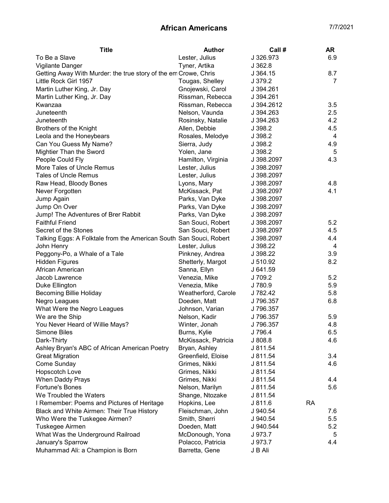| To Be a Slave<br>Lester, Julius<br>J 326.973<br>6.9<br>Vigilante Danger<br>Tyner, Artika<br>J362.8<br>Getting Away With Murder: the true story of the em Crowe, Chris<br>8.7<br>J364.15<br>Little Rock Girl 1957<br>J 379.2<br>Tougas, Shelley<br>7<br>Gnojewski, Carol<br>Martin Luther King, Jr. Day<br>J 394.261<br>Rissman, Rebecca<br>J 394.261<br>Martin Luther King, Jr. Day<br>Rissman, Rebecca<br>3.5<br>Kwanzaa<br>J 394.2612<br>2.5<br>Juneteenth<br>Nelson, Vaunda<br>J 394.263<br>4.2<br>Juneteenth<br>Rosinsky, Natalie<br>J 394.263<br><b>Brothers of the Knight</b><br>4.5<br>Allen, Debbie<br>J 398.2<br>Leola and the Honeybears<br>Rosales, Melodye<br>J 398.2<br>4<br>Can You Guess My Name?<br>Sierra, Judy<br>J 398.2<br>4.9<br>Mightier Than the Sword<br>Yolen, Jane<br>J 398.2<br>5<br>4.3<br>People Could Fly<br>Hamilton, Virginia<br>J 398.2097<br>More Tales of Uncle Remus<br>Lester, Julius<br>J 398.2097<br><b>Tales of Uncle Remus</b><br>Lester, Julius<br>J 398.2097<br>4.8<br>Raw Head, Bloody Bones<br>Lyons, Mary<br>J 398.2097<br>4.1<br>McKissack, Pat<br>Never Forgotten<br>J 398.2097<br>Parks, Van Dyke<br>Jump Again<br>J 398.2097<br>Parks, Van Dyke<br>Jump On Over<br>J 398.2097<br>Jump! The Adventures of Brer Rabbit<br>Parks, Van Dyke<br>J 398.2097<br><b>Faithful Friend</b><br>San Souci, Robert<br>5.2<br>J 398.2097<br>Secret of the Stones<br>San Souci, Robert<br>4.5<br>J 398.2097<br>Talking Eggs: A Folktale from the American South San Souci, Robert<br>4.4<br>J 398.2097<br>John Henry<br>Lester, Julius<br>J 398.22<br>4<br>Peggony-Po, a Whale of a Tale<br>Pinkney, Andrea<br>3.9<br>J 398.22<br>8.2<br><b>Hidden Figures</b><br>Shetterly, Margot<br>J 510.92<br>African American<br>Sanna, Ellyn<br>J 641.59<br>Venezia, Mike<br>J 709.2<br>5.2<br>Jacob Lawrence<br>5.9<br>J 780.9<br>Duke Ellington<br>Venezia, Mike<br>5.8<br><b>Becoming Billie Holiday</b><br>Weatherford, Carole<br>J 782.42<br>6.8<br>Negro Leagues<br>Doeden, Matt<br>J 796.357<br>What Were the Negro Leagues<br>Johnson, Varian<br>J 796.357<br>We are the Ship<br>Nelson, Kadir<br>J 796.357<br>5.9<br>You Never Heard of Willie Mays?<br>J 796.357<br>4.8<br>Winter, Jonah<br>Burns, Kylie<br>J 796.4<br>6.5<br><b>Simone Biles</b><br>J 808.8<br>Dark-Thirty<br>McKissack, Patricia<br>4.6<br>J 811.54<br>Ashley Bryan's ABC of African American Poetry<br>Bryan, Ashley<br><b>Great Migration</b><br>3.4<br>Greenfield, Eloise<br>J 811.54<br>Come Sunday<br>4.6<br>Grimes, Nikki<br>J 811.54<br>Hopscotch Love<br>Grimes, Nikki<br>J 811.54<br>When Daddy Prays<br>Grimes, Nikki<br>4.4<br>J 811.54<br><b>Fortune's Bones</b><br>Nelson, Marilyn<br>5.6<br>J 811.54<br>We Troubled the Waters<br>Shange, Ntozake<br>J 811.54<br><b>RA</b><br>I Remember: Poems and Pictures of Heritage<br>Hopkins, Lee<br>J 811.6<br>Fleischman, John<br>7.6<br>Black and White Airmen: Their True History<br>J 940.54<br>Smith, Sherri<br>Who Were the Tuskegee Airmen?<br>J 940.54<br>5.5<br>Tuskegee Airmen<br>Doeden, Matt<br>5.2<br>J 940.544<br>McDonough, Yona<br>What Was the Underground Railroad<br>J 973.7<br>5<br>January's Sparrow<br>Polacco, Patricia<br>4.4<br>J 973.7<br>Barretta, Gene<br>J B Ali | <b>Title</b>                     | <b>Author</b> | Call # | AR |
|----------------------------------------------------------------------------------------------------------------------------------------------------------------------------------------------------------------------------------------------------------------------------------------------------------------------------------------------------------------------------------------------------------------------------------------------------------------------------------------------------------------------------------------------------------------------------------------------------------------------------------------------------------------------------------------------------------------------------------------------------------------------------------------------------------------------------------------------------------------------------------------------------------------------------------------------------------------------------------------------------------------------------------------------------------------------------------------------------------------------------------------------------------------------------------------------------------------------------------------------------------------------------------------------------------------------------------------------------------------------------------------------------------------------------------------------------------------------------------------------------------------------------------------------------------------------------------------------------------------------------------------------------------------------------------------------------------------------------------------------------------------------------------------------------------------------------------------------------------------------------------------------------------------------------------------------------------------------------------------------------------------------------------------------------------------------------------------------------------------------------------------------------------------------------------------------------------------------------------------------------------------------------------------------------------------------------------------------------------------------------------------------------------------------------------------------------------------------------------------------------------------------------------------------------------------------------------------------------------------------------------------------------------------------------------------------------------------------------------------------------------------------------------------------------------------------------------------------------------------------------------------------------------------------------------------------------------------------------------------------------------------------------------------------------------------------------------------------------------------------------------------------------------------------------------------------------------------------------------------------------------|----------------------------------|---------------|--------|----|
|                                                                                                                                                                                                                                                                                                                                                                                                                                                                                                                                                                                                                                                                                                                                                                                                                                                                                                                                                                                                                                                                                                                                                                                                                                                                                                                                                                                                                                                                                                                                                                                                                                                                                                                                                                                                                                                                                                                                                                                                                                                                                                                                                                                                                                                                                                                                                                                                                                                                                                                                                                                                                                                                                                                                                                                                                                                                                                                                                                                                                                                                                                                                                                                                                                                          |                                  |               |        |    |
|                                                                                                                                                                                                                                                                                                                                                                                                                                                                                                                                                                                                                                                                                                                                                                                                                                                                                                                                                                                                                                                                                                                                                                                                                                                                                                                                                                                                                                                                                                                                                                                                                                                                                                                                                                                                                                                                                                                                                                                                                                                                                                                                                                                                                                                                                                                                                                                                                                                                                                                                                                                                                                                                                                                                                                                                                                                                                                                                                                                                                                                                                                                                                                                                                                                          |                                  |               |        |    |
|                                                                                                                                                                                                                                                                                                                                                                                                                                                                                                                                                                                                                                                                                                                                                                                                                                                                                                                                                                                                                                                                                                                                                                                                                                                                                                                                                                                                                                                                                                                                                                                                                                                                                                                                                                                                                                                                                                                                                                                                                                                                                                                                                                                                                                                                                                                                                                                                                                                                                                                                                                                                                                                                                                                                                                                                                                                                                                                                                                                                                                                                                                                                                                                                                                                          |                                  |               |        |    |
|                                                                                                                                                                                                                                                                                                                                                                                                                                                                                                                                                                                                                                                                                                                                                                                                                                                                                                                                                                                                                                                                                                                                                                                                                                                                                                                                                                                                                                                                                                                                                                                                                                                                                                                                                                                                                                                                                                                                                                                                                                                                                                                                                                                                                                                                                                                                                                                                                                                                                                                                                                                                                                                                                                                                                                                                                                                                                                                                                                                                                                                                                                                                                                                                                                                          |                                  |               |        |    |
|                                                                                                                                                                                                                                                                                                                                                                                                                                                                                                                                                                                                                                                                                                                                                                                                                                                                                                                                                                                                                                                                                                                                                                                                                                                                                                                                                                                                                                                                                                                                                                                                                                                                                                                                                                                                                                                                                                                                                                                                                                                                                                                                                                                                                                                                                                                                                                                                                                                                                                                                                                                                                                                                                                                                                                                                                                                                                                                                                                                                                                                                                                                                                                                                                                                          |                                  |               |        |    |
|                                                                                                                                                                                                                                                                                                                                                                                                                                                                                                                                                                                                                                                                                                                                                                                                                                                                                                                                                                                                                                                                                                                                                                                                                                                                                                                                                                                                                                                                                                                                                                                                                                                                                                                                                                                                                                                                                                                                                                                                                                                                                                                                                                                                                                                                                                                                                                                                                                                                                                                                                                                                                                                                                                                                                                                                                                                                                                                                                                                                                                                                                                                                                                                                                                                          |                                  |               |        |    |
|                                                                                                                                                                                                                                                                                                                                                                                                                                                                                                                                                                                                                                                                                                                                                                                                                                                                                                                                                                                                                                                                                                                                                                                                                                                                                                                                                                                                                                                                                                                                                                                                                                                                                                                                                                                                                                                                                                                                                                                                                                                                                                                                                                                                                                                                                                                                                                                                                                                                                                                                                                                                                                                                                                                                                                                                                                                                                                                                                                                                                                                                                                                                                                                                                                                          |                                  |               |        |    |
|                                                                                                                                                                                                                                                                                                                                                                                                                                                                                                                                                                                                                                                                                                                                                                                                                                                                                                                                                                                                                                                                                                                                                                                                                                                                                                                                                                                                                                                                                                                                                                                                                                                                                                                                                                                                                                                                                                                                                                                                                                                                                                                                                                                                                                                                                                                                                                                                                                                                                                                                                                                                                                                                                                                                                                                                                                                                                                                                                                                                                                                                                                                                                                                                                                                          |                                  |               |        |    |
|                                                                                                                                                                                                                                                                                                                                                                                                                                                                                                                                                                                                                                                                                                                                                                                                                                                                                                                                                                                                                                                                                                                                                                                                                                                                                                                                                                                                                                                                                                                                                                                                                                                                                                                                                                                                                                                                                                                                                                                                                                                                                                                                                                                                                                                                                                                                                                                                                                                                                                                                                                                                                                                                                                                                                                                                                                                                                                                                                                                                                                                                                                                                                                                                                                                          |                                  |               |        |    |
|                                                                                                                                                                                                                                                                                                                                                                                                                                                                                                                                                                                                                                                                                                                                                                                                                                                                                                                                                                                                                                                                                                                                                                                                                                                                                                                                                                                                                                                                                                                                                                                                                                                                                                                                                                                                                                                                                                                                                                                                                                                                                                                                                                                                                                                                                                                                                                                                                                                                                                                                                                                                                                                                                                                                                                                                                                                                                                                                                                                                                                                                                                                                                                                                                                                          |                                  |               |        |    |
|                                                                                                                                                                                                                                                                                                                                                                                                                                                                                                                                                                                                                                                                                                                                                                                                                                                                                                                                                                                                                                                                                                                                                                                                                                                                                                                                                                                                                                                                                                                                                                                                                                                                                                                                                                                                                                                                                                                                                                                                                                                                                                                                                                                                                                                                                                                                                                                                                                                                                                                                                                                                                                                                                                                                                                                                                                                                                                                                                                                                                                                                                                                                                                                                                                                          |                                  |               |        |    |
|                                                                                                                                                                                                                                                                                                                                                                                                                                                                                                                                                                                                                                                                                                                                                                                                                                                                                                                                                                                                                                                                                                                                                                                                                                                                                                                                                                                                                                                                                                                                                                                                                                                                                                                                                                                                                                                                                                                                                                                                                                                                                                                                                                                                                                                                                                                                                                                                                                                                                                                                                                                                                                                                                                                                                                                                                                                                                                                                                                                                                                                                                                                                                                                                                                                          |                                  |               |        |    |
|                                                                                                                                                                                                                                                                                                                                                                                                                                                                                                                                                                                                                                                                                                                                                                                                                                                                                                                                                                                                                                                                                                                                                                                                                                                                                                                                                                                                                                                                                                                                                                                                                                                                                                                                                                                                                                                                                                                                                                                                                                                                                                                                                                                                                                                                                                                                                                                                                                                                                                                                                                                                                                                                                                                                                                                                                                                                                                                                                                                                                                                                                                                                                                                                                                                          |                                  |               |        |    |
|                                                                                                                                                                                                                                                                                                                                                                                                                                                                                                                                                                                                                                                                                                                                                                                                                                                                                                                                                                                                                                                                                                                                                                                                                                                                                                                                                                                                                                                                                                                                                                                                                                                                                                                                                                                                                                                                                                                                                                                                                                                                                                                                                                                                                                                                                                                                                                                                                                                                                                                                                                                                                                                                                                                                                                                                                                                                                                                                                                                                                                                                                                                                                                                                                                                          |                                  |               |        |    |
|                                                                                                                                                                                                                                                                                                                                                                                                                                                                                                                                                                                                                                                                                                                                                                                                                                                                                                                                                                                                                                                                                                                                                                                                                                                                                                                                                                                                                                                                                                                                                                                                                                                                                                                                                                                                                                                                                                                                                                                                                                                                                                                                                                                                                                                                                                                                                                                                                                                                                                                                                                                                                                                                                                                                                                                                                                                                                                                                                                                                                                                                                                                                                                                                                                                          |                                  |               |        |    |
|                                                                                                                                                                                                                                                                                                                                                                                                                                                                                                                                                                                                                                                                                                                                                                                                                                                                                                                                                                                                                                                                                                                                                                                                                                                                                                                                                                                                                                                                                                                                                                                                                                                                                                                                                                                                                                                                                                                                                                                                                                                                                                                                                                                                                                                                                                                                                                                                                                                                                                                                                                                                                                                                                                                                                                                                                                                                                                                                                                                                                                                                                                                                                                                                                                                          |                                  |               |        |    |
|                                                                                                                                                                                                                                                                                                                                                                                                                                                                                                                                                                                                                                                                                                                                                                                                                                                                                                                                                                                                                                                                                                                                                                                                                                                                                                                                                                                                                                                                                                                                                                                                                                                                                                                                                                                                                                                                                                                                                                                                                                                                                                                                                                                                                                                                                                                                                                                                                                                                                                                                                                                                                                                                                                                                                                                                                                                                                                                                                                                                                                                                                                                                                                                                                                                          |                                  |               |        |    |
|                                                                                                                                                                                                                                                                                                                                                                                                                                                                                                                                                                                                                                                                                                                                                                                                                                                                                                                                                                                                                                                                                                                                                                                                                                                                                                                                                                                                                                                                                                                                                                                                                                                                                                                                                                                                                                                                                                                                                                                                                                                                                                                                                                                                                                                                                                                                                                                                                                                                                                                                                                                                                                                                                                                                                                                                                                                                                                                                                                                                                                                                                                                                                                                                                                                          |                                  |               |        |    |
|                                                                                                                                                                                                                                                                                                                                                                                                                                                                                                                                                                                                                                                                                                                                                                                                                                                                                                                                                                                                                                                                                                                                                                                                                                                                                                                                                                                                                                                                                                                                                                                                                                                                                                                                                                                                                                                                                                                                                                                                                                                                                                                                                                                                                                                                                                                                                                                                                                                                                                                                                                                                                                                                                                                                                                                                                                                                                                                                                                                                                                                                                                                                                                                                                                                          |                                  |               |        |    |
|                                                                                                                                                                                                                                                                                                                                                                                                                                                                                                                                                                                                                                                                                                                                                                                                                                                                                                                                                                                                                                                                                                                                                                                                                                                                                                                                                                                                                                                                                                                                                                                                                                                                                                                                                                                                                                                                                                                                                                                                                                                                                                                                                                                                                                                                                                                                                                                                                                                                                                                                                                                                                                                                                                                                                                                                                                                                                                                                                                                                                                                                                                                                                                                                                                                          |                                  |               |        |    |
|                                                                                                                                                                                                                                                                                                                                                                                                                                                                                                                                                                                                                                                                                                                                                                                                                                                                                                                                                                                                                                                                                                                                                                                                                                                                                                                                                                                                                                                                                                                                                                                                                                                                                                                                                                                                                                                                                                                                                                                                                                                                                                                                                                                                                                                                                                                                                                                                                                                                                                                                                                                                                                                                                                                                                                                                                                                                                                                                                                                                                                                                                                                                                                                                                                                          |                                  |               |        |    |
|                                                                                                                                                                                                                                                                                                                                                                                                                                                                                                                                                                                                                                                                                                                                                                                                                                                                                                                                                                                                                                                                                                                                                                                                                                                                                                                                                                                                                                                                                                                                                                                                                                                                                                                                                                                                                                                                                                                                                                                                                                                                                                                                                                                                                                                                                                                                                                                                                                                                                                                                                                                                                                                                                                                                                                                                                                                                                                                                                                                                                                                                                                                                                                                                                                                          |                                  |               |        |    |
|                                                                                                                                                                                                                                                                                                                                                                                                                                                                                                                                                                                                                                                                                                                                                                                                                                                                                                                                                                                                                                                                                                                                                                                                                                                                                                                                                                                                                                                                                                                                                                                                                                                                                                                                                                                                                                                                                                                                                                                                                                                                                                                                                                                                                                                                                                                                                                                                                                                                                                                                                                                                                                                                                                                                                                                                                                                                                                                                                                                                                                                                                                                                                                                                                                                          |                                  |               |        |    |
|                                                                                                                                                                                                                                                                                                                                                                                                                                                                                                                                                                                                                                                                                                                                                                                                                                                                                                                                                                                                                                                                                                                                                                                                                                                                                                                                                                                                                                                                                                                                                                                                                                                                                                                                                                                                                                                                                                                                                                                                                                                                                                                                                                                                                                                                                                                                                                                                                                                                                                                                                                                                                                                                                                                                                                                                                                                                                                                                                                                                                                                                                                                                                                                                                                                          |                                  |               |        |    |
|                                                                                                                                                                                                                                                                                                                                                                                                                                                                                                                                                                                                                                                                                                                                                                                                                                                                                                                                                                                                                                                                                                                                                                                                                                                                                                                                                                                                                                                                                                                                                                                                                                                                                                                                                                                                                                                                                                                                                                                                                                                                                                                                                                                                                                                                                                                                                                                                                                                                                                                                                                                                                                                                                                                                                                                                                                                                                                                                                                                                                                                                                                                                                                                                                                                          |                                  |               |        |    |
|                                                                                                                                                                                                                                                                                                                                                                                                                                                                                                                                                                                                                                                                                                                                                                                                                                                                                                                                                                                                                                                                                                                                                                                                                                                                                                                                                                                                                                                                                                                                                                                                                                                                                                                                                                                                                                                                                                                                                                                                                                                                                                                                                                                                                                                                                                                                                                                                                                                                                                                                                                                                                                                                                                                                                                                                                                                                                                                                                                                                                                                                                                                                                                                                                                                          |                                  |               |        |    |
|                                                                                                                                                                                                                                                                                                                                                                                                                                                                                                                                                                                                                                                                                                                                                                                                                                                                                                                                                                                                                                                                                                                                                                                                                                                                                                                                                                                                                                                                                                                                                                                                                                                                                                                                                                                                                                                                                                                                                                                                                                                                                                                                                                                                                                                                                                                                                                                                                                                                                                                                                                                                                                                                                                                                                                                                                                                                                                                                                                                                                                                                                                                                                                                                                                                          |                                  |               |        |    |
|                                                                                                                                                                                                                                                                                                                                                                                                                                                                                                                                                                                                                                                                                                                                                                                                                                                                                                                                                                                                                                                                                                                                                                                                                                                                                                                                                                                                                                                                                                                                                                                                                                                                                                                                                                                                                                                                                                                                                                                                                                                                                                                                                                                                                                                                                                                                                                                                                                                                                                                                                                                                                                                                                                                                                                                                                                                                                                                                                                                                                                                                                                                                                                                                                                                          |                                  |               |        |    |
|                                                                                                                                                                                                                                                                                                                                                                                                                                                                                                                                                                                                                                                                                                                                                                                                                                                                                                                                                                                                                                                                                                                                                                                                                                                                                                                                                                                                                                                                                                                                                                                                                                                                                                                                                                                                                                                                                                                                                                                                                                                                                                                                                                                                                                                                                                                                                                                                                                                                                                                                                                                                                                                                                                                                                                                                                                                                                                                                                                                                                                                                                                                                                                                                                                                          |                                  |               |        |    |
|                                                                                                                                                                                                                                                                                                                                                                                                                                                                                                                                                                                                                                                                                                                                                                                                                                                                                                                                                                                                                                                                                                                                                                                                                                                                                                                                                                                                                                                                                                                                                                                                                                                                                                                                                                                                                                                                                                                                                                                                                                                                                                                                                                                                                                                                                                                                                                                                                                                                                                                                                                                                                                                                                                                                                                                                                                                                                                                                                                                                                                                                                                                                                                                                                                                          |                                  |               |        |    |
|                                                                                                                                                                                                                                                                                                                                                                                                                                                                                                                                                                                                                                                                                                                                                                                                                                                                                                                                                                                                                                                                                                                                                                                                                                                                                                                                                                                                                                                                                                                                                                                                                                                                                                                                                                                                                                                                                                                                                                                                                                                                                                                                                                                                                                                                                                                                                                                                                                                                                                                                                                                                                                                                                                                                                                                                                                                                                                                                                                                                                                                                                                                                                                                                                                                          |                                  |               |        |    |
|                                                                                                                                                                                                                                                                                                                                                                                                                                                                                                                                                                                                                                                                                                                                                                                                                                                                                                                                                                                                                                                                                                                                                                                                                                                                                                                                                                                                                                                                                                                                                                                                                                                                                                                                                                                                                                                                                                                                                                                                                                                                                                                                                                                                                                                                                                                                                                                                                                                                                                                                                                                                                                                                                                                                                                                                                                                                                                                                                                                                                                                                                                                                                                                                                                                          |                                  |               |        |    |
|                                                                                                                                                                                                                                                                                                                                                                                                                                                                                                                                                                                                                                                                                                                                                                                                                                                                                                                                                                                                                                                                                                                                                                                                                                                                                                                                                                                                                                                                                                                                                                                                                                                                                                                                                                                                                                                                                                                                                                                                                                                                                                                                                                                                                                                                                                                                                                                                                                                                                                                                                                                                                                                                                                                                                                                                                                                                                                                                                                                                                                                                                                                                                                                                                                                          |                                  |               |        |    |
|                                                                                                                                                                                                                                                                                                                                                                                                                                                                                                                                                                                                                                                                                                                                                                                                                                                                                                                                                                                                                                                                                                                                                                                                                                                                                                                                                                                                                                                                                                                                                                                                                                                                                                                                                                                                                                                                                                                                                                                                                                                                                                                                                                                                                                                                                                                                                                                                                                                                                                                                                                                                                                                                                                                                                                                                                                                                                                                                                                                                                                                                                                                                                                                                                                                          |                                  |               |        |    |
|                                                                                                                                                                                                                                                                                                                                                                                                                                                                                                                                                                                                                                                                                                                                                                                                                                                                                                                                                                                                                                                                                                                                                                                                                                                                                                                                                                                                                                                                                                                                                                                                                                                                                                                                                                                                                                                                                                                                                                                                                                                                                                                                                                                                                                                                                                                                                                                                                                                                                                                                                                                                                                                                                                                                                                                                                                                                                                                                                                                                                                                                                                                                                                                                                                                          |                                  |               |        |    |
|                                                                                                                                                                                                                                                                                                                                                                                                                                                                                                                                                                                                                                                                                                                                                                                                                                                                                                                                                                                                                                                                                                                                                                                                                                                                                                                                                                                                                                                                                                                                                                                                                                                                                                                                                                                                                                                                                                                                                                                                                                                                                                                                                                                                                                                                                                                                                                                                                                                                                                                                                                                                                                                                                                                                                                                                                                                                                                                                                                                                                                                                                                                                                                                                                                                          |                                  |               |        |    |
|                                                                                                                                                                                                                                                                                                                                                                                                                                                                                                                                                                                                                                                                                                                                                                                                                                                                                                                                                                                                                                                                                                                                                                                                                                                                                                                                                                                                                                                                                                                                                                                                                                                                                                                                                                                                                                                                                                                                                                                                                                                                                                                                                                                                                                                                                                                                                                                                                                                                                                                                                                                                                                                                                                                                                                                                                                                                                                                                                                                                                                                                                                                                                                                                                                                          |                                  |               |        |    |
|                                                                                                                                                                                                                                                                                                                                                                                                                                                                                                                                                                                                                                                                                                                                                                                                                                                                                                                                                                                                                                                                                                                                                                                                                                                                                                                                                                                                                                                                                                                                                                                                                                                                                                                                                                                                                                                                                                                                                                                                                                                                                                                                                                                                                                                                                                                                                                                                                                                                                                                                                                                                                                                                                                                                                                                                                                                                                                                                                                                                                                                                                                                                                                                                                                                          |                                  |               |        |    |
|                                                                                                                                                                                                                                                                                                                                                                                                                                                                                                                                                                                                                                                                                                                                                                                                                                                                                                                                                                                                                                                                                                                                                                                                                                                                                                                                                                                                                                                                                                                                                                                                                                                                                                                                                                                                                                                                                                                                                                                                                                                                                                                                                                                                                                                                                                                                                                                                                                                                                                                                                                                                                                                                                                                                                                                                                                                                                                                                                                                                                                                                                                                                                                                                                                                          |                                  |               |        |    |
|                                                                                                                                                                                                                                                                                                                                                                                                                                                                                                                                                                                                                                                                                                                                                                                                                                                                                                                                                                                                                                                                                                                                                                                                                                                                                                                                                                                                                                                                                                                                                                                                                                                                                                                                                                                                                                                                                                                                                                                                                                                                                                                                                                                                                                                                                                                                                                                                                                                                                                                                                                                                                                                                                                                                                                                                                                                                                                                                                                                                                                                                                                                                                                                                                                                          |                                  |               |        |    |
|                                                                                                                                                                                                                                                                                                                                                                                                                                                                                                                                                                                                                                                                                                                                                                                                                                                                                                                                                                                                                                                                                                                                                                                                                                                                                                                                                                                                                                                                                                                                                                                                                                                                                                                                                                                                                                                                                                                                                                                                                                                                                                                                                                                                                                                                                                                                                                                                                                                                                                                                                                                                                                                                                                                                                                                                                                                                                                                                                                                                                                                                                                                                                                                                                                                          |                                  |               |        |    |
|                                                                                                                                                                                                                                                                                                                                                                                                                                                                                                                                                                                                                                                                                                                                                                                                                                                                                                                                                                                                                                                                                                                                                                                                                                                                                                                                                                                                                                                                                                                                                                                                                                                                                                                                                                                                                                                                                                                                                                                                                                                                                                                                                                                                                                                                                                                                                                                                                                                                                                                                                                                                                                                                                                                                                                                                                                                                                                                                                                                                                                                                                                                                                                                                                                                          |                                  |               |        |    |
|                                                                                                                                                                                                                                                                                                                                                                                                                                                                                                                                                                                                                                                                                                                                                                                                                                                                                                                                                                                                                                                                                                                                                                                                                                                                                                                                                                                                                                                                                                                                                                                                                                                                                                                                                                                                                                                                                                                                                                                                                                                                                                                                                                                                                                                                                                                                                                                                                                                                                                                                                                                                                                                                                                                                                                                                                                                                                                                                                                                                                                                                                                                                                                                                                                                          |                                  |               |        |    |
|                                                                                                                                                                                                                                                                                                                                                                                                                                                                                                                                                                                                                                                                                                                                                                                                                                                                                                                                                                                                                                                                                                                                                                                                                                                                                                                                                                                                                                                                                                                                                                                                                                                                                                                                                                                                                                                                                                                                                                                                                                                                                                                                                                                                                                                                                                                                                                                                                                                                                                                                                                                                                                                                                                                                                                                                                                                                                                                                                                                                                                                                                                                                                                                                                                                          |                                  |               |        |    |
|                                                                                                                                                                                                                                                                                                                                                                                                                                                                                                                                                                                                                                                                                                                                                                                                                                                                                                                                                                                                                                                                                                                                                                                                                                                                                                                                                                                                                                                                                                                                                                                                                                                                                                                                                                                                                                                                                                                                                                                                                                                                                                                                                                                                                                                                                                                                                                                                                                                                                                                                                                                                                                                                                                                                                                                                                                                                                                                                                                                                                                                                                                                                                                                                                                                          |                                  |               |        |    |
|                                                                                                                                                                                                                                                                                                                                                                                                                                                                                                                                                                                                                                                                                                                                                                                                                                                                                                                                                                                                                                                                                                                                                                                                                                                                                                                                                                                                                                                                                                                                                                                                                                                                                                                                                                                                                                                                                                                                                                                                                                                                                                                                                                                                                                                                                                                                                                                                                                                                                                                                                                                                                                                                                                                                                                                                                                                                                                                                                                                                                                                                                                                                                                                                                                                          |                                  |               |        |    |
|                                                                                                                                                                                                                                                                                                                                                                                                                                                                                                                                                                                                                                                                                                                                                                                                                                                                                                                                                                                                                                                                                                                                                                                                                                                                                                                                                                                                                                                                                                                                                                                                                                                                                                                                                                                                                                                                                                                                                                                                                                                                                                                                                                                                                                                                                                                                                                                                                                                                                                                                                                                                                                                                                                                                                                                                                                                                                                                                                                                                                                                                                                                                                                                                                                                          |                                  |               |        |    |
|                                                                                                                                                                                                                                                                                                                                                                                                                                                                                                                                                                                                                                                                                                                                                                                                                                                                                                                                                                                                                                                                                                                                                                                                                                                                                                                                                                                                                                                                                                                                                                                                                                                                                                                                                                                                                                                                                                                                                                                                                                                                                                                                                                                                                                                                                                                                                                                                                                                                                                                                                                                                                                                                                                                                                                                                                                                                                                                                                                                                                                                                                                                                                                                                                                                          |                                  |               |        |    |
|                                                                                                                                                                                                                                                                                                                                                                                                                                                                                                                                                                                                                                                                                                                                                                                                                                                                                                                                                                                                                                                                                                                                                                                                                                                                                                                                                                                                                                                                                                                                                                                                                                                                                                                                                                                                                                                                                                                                                                                                                                                                                                                                                                                                                                                                                                                                                                                                                                                                                                                                                                                                                                                                                                                                                                                                                                                                                                                                                                                                                                                                                                                                                                                                                                                          |                                  |               |        |    |
|                                                                                                                                                                                                                                                                                                                                                                                                                                                                                                                                                                                                                                                                                                                                                                                                                                                                                                                                                                                                                                                                                                                                                                                                                                                                                                                                                                                                                                                                                                                                                                                                                                                                                                                                                                                                                                                                                                                                                                                                                                                                                                                                                                                                                                                                                                                                                                                                                                                                                                                                                                                                                                                                                                                                                                                                                                                                                                                                                                                                                                                                                                                                                                                                                                                          |                                  |               |        |    |
|                                                                                                                                                                                                                                                                                                                                                                                                                                                                                                                                                                                                                                                                                                                                                                                                                                                                                                                                                                                                                                                                                                                                                                                                                                                                                                                                                                                                                                                                                                                                                                                                                                                                                                                                                                                                                                                                                                                                                                                                                                                                                                                                                                                                                                                                                                                                                                                                                                                                                                                                                                                                                                                                                                                                                                                                                                                                                                                                                                                                                                                                                                                                                                                                                                                          | Muhammad Ali: a Champion is Born |               |        |    |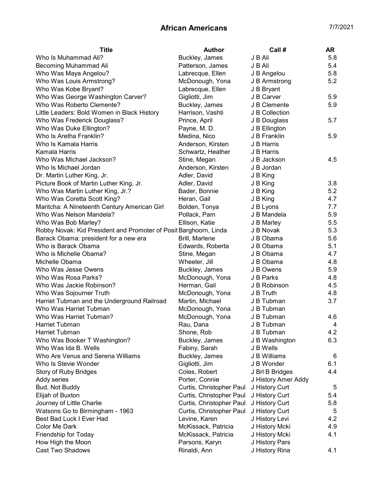| <b>Title</b>                                                      | <b>Author</b>                   | Call#                       | <b>AR</b> |
|-------------------------------------------------------------------|---------------------------------|-----------------------------|-----------|
| Who Is Muhammad Ali?                                              | Buckley, James                  | J B Ali                     | 5.8       |
| <b>Becoming Muhammad Ali</b>                                      | Patterson, James                | J B Ali                     | 5.4       |
| Who Was Maya Angelou?                                             | Labrecque, Ellen                | J B Angelou                 | 5.8       |
| Who Was Louis Armstrong?                                          | McDonough, Yona                 | J B Armstrong               | 5.2       |
| Who Was Kobe Bryant?                                              | Labrecque, Ellen                | J B Bryant                  |           |
| Who Was George Washington Carver?                                 | Gigliotti, Jim                  | J B Carver                  | 5.9       |
| Who Was Roberto Clemente?                                         | Buckley, James                  | J B Clemente                | 5.9       |
| Little Leaders: Bold Women in Black History                       | Harrison, Vashti                | J B Collection              |           |
| Who Was Frederick Douglass?                                       | Prince, April                   | J B Douglass                | 5.7       |
| Who Was Duke Ellington?                                           | Payne, M. D.                    | J B Ellington               |           |
| Who Is Aretha Franklin?                                           | Medina, Nico                    | J B Franklin                | 5.9       |
| Who Is Kamala Harris                                              | Anderson, Kirsten               | J B Harris                  |           |
| Kamala Harris                                                     | Schwartz, Heather               | J B Harris                  |           |
| Who Was Michael Jackson?                                          | Stine, Megan                    | J B Jackson                 | 4.5       |
| Who Is Michael Jordan                                             | Anderson, Kirsten               | J B Jordan                  |           |
| Dr. Martin Luther King, Jr.                                       | Adler, David                    | J B King                    |           |
| Picture Book of Martin Luther King, Jr.                           | Adler, David                    | J B King                    | 3.8       |
| Who Was Martin Luther King, Jr.?                                  | Bader, Bonnie                   | J B King                    | 5.2       |
| Who Was Coretta Scott King?                                       | Heran, Gail                     | J B King                    | 4.7       |
| Maritcha: A Nineteenth Century American Girl                      | Bolden, Tonya                   | J B Lyons                   | 7.7       |
| Who Was Nelson Mandela?                                           | Pollack, Pam                    | J B Mandela                 | 5.9       |
| Who Was Bob Marley?                                               | Ellison, Katie                  | J B Marley                  | 5.5       |
| Robby Novak: Kid President and Promoter of Posit Barghoorn, Linda |                                 | J B Novak                   | 5.3       |
| Barack Obama: president for a new era                             | Brill, Marlene                  | J B Obama                   | 5.6       |
| Who is Barack Obama                                               | Edwards, Roberta                | J B Obama                   | 5.1       |
| Who is Michelle Obama?                                            | Stine, Megan                    | J B Obama                   | 4.7       |
| Michelle Obama                                                    | Wheeler, Jill                   | J B Obama                   | 4.8       |
| Who Was Jesse Owens                                               | Buckley, James                  | J B Owens                   | 5.9       |
| Who Was Rosa Parks?                                               | McDonough, Yona                 | J B Parks                   | 4.8       |
| Who Was Jackie Robinson?                                          | Herman, Gail                    | J B Robinson                | 4.5       |
| Who Was Sojourner Truth                                           | McDonough, Yona                 | J B Truth                   | 4.8       |
| Harriet Tubman and the Underground Railroad                       | Martin, Michael                 | J B Tubman                  | 3.7       |
| Who Was Harriet Tubman                                            | McDonough, Yona                 | J B Tubman                  |           |
| Who Was Harriet Tubman?                                           | McDonough, Yona                 | J B Tubman                  | 4.6       |
| Harriet Tubman                                                    | Rau, Dana                       | J B Tubman                  | 4         |
| Harriet Tubman                                                    | Shone, Rob                      | J B Tubman                  | 4.2       |
|                                                                   |                                 |                             |           |
| Who Was Booker T Washington?<br>Who Was Ida B. Wells              | Buckley, James                  | J B Washington<br>J B Wells | 6.3       |
| Who Are Venus and Serena Williams                                 | Fabiny, Sarah<br>Buckley, James |                             |           |
|                                                                   |                                 | J B Williams                | 6         |
| Who Is Stevie Wonder                                              | Gigliotti, Jim                  | J B Wonder                  | 6.1       |
| Story of Ruby Bridges                                             | Coles, Robert                   | J Brl B Bridges             | 4.4       |
| Addy series                                                       | Porter, Connie                  | J History Amer Addy         |           |
| Bud, Not Buddy                                                    | Curtis, Christopher Paul        | J History Curt              | 5         |
| Elijah of Buxton                                                  | Curtis, Christopher Paul        | J History Curt              | 5.4       |
| Journey of Little Charlie                                         | Curtis, Christopher Paul        | J History Curt              | 5.8       |
| Watsons Go to Birmingham - 1963                                   | Curtis, Christopher Paul        | J History Curt              | 5         |
| Best Bad Luck I Ever Had                                          | Levine, Karen                   | J History Levi              | 4.2       |
| Color Me Dark                                                     | McKissack, Patricia             | J History Mcki              | 4.9       |
| Friendship for Today                                              | McKissack, Patricia             | J History Mcki              | 4.1       |
| How High the Moon                                                 | Parsons, Karyn                  | J History Pars              |           |
| Cast Two Shadows                                                  | Rinaldi, Ann                    | J History Rina              | 4.1       |